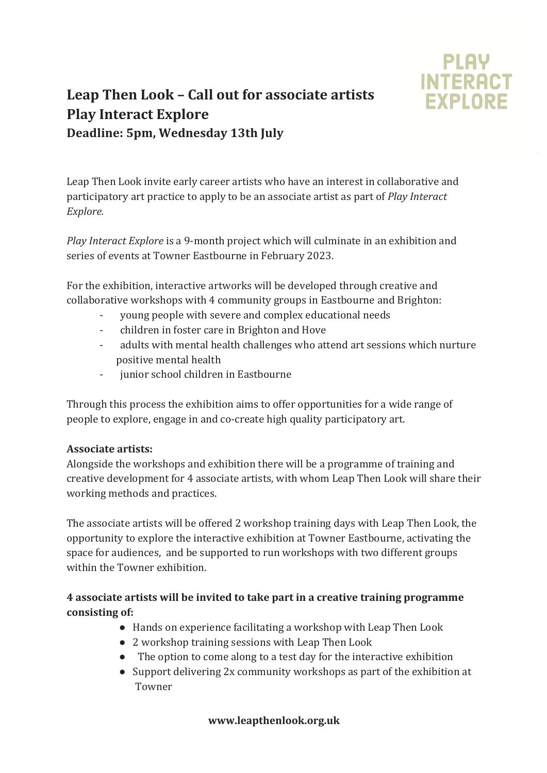

# Leap Then Look - Call out for associate artists **Play Interact Explore Deadline: 5pm, Wednesday 13th July**

Leap Then Look invite early career artists who have an interest in collaborative and participatory art practice to apply to be an associate artist as part of *Play Interact Explore.*

*Play Interact Explore* is a 9-month project which will culminate in an exhibition and series of events at Towner Eastbourne in February 2023.

For the exhibition, interactive artworks will be developed through creative and collaborative workshops with 4 community groups in Eastbourne and Brighton:

- young people with severe and complex educational needs
- children in foster care in Brighton and Hove
- adults with mental health challenges who attend art sessions which nurture positive mental health
- junior school children in Eastbourne

Through this process the exhibition aims to offer opportunities for a wide range of people to explore, engage in and co-create high quality participatory art.

### **Associate artists:**

Alongside the workshops and exhibition there will be a programme of training and creative development for 4 associate artists, with whom Leap Then Look will share their working methods and practices.

The associate artists will be offered 2 workshop training days with Leap Then Look, the opportunity to explore the interactive exhibition at Towner Eastbourne, activating the space for audiences, and be supported to run workshops with two different groups within the Towner exhibition

### **4** associate artists will be invited to take part in a creative training programme consisting of:

- Hands on experience facilitating a workshop with Leap Then Look
- 2 workshop training sessions with Leap Then Look
- The option to come along to a test day for the interactive exhibition
- Support delivering 2x community workshops as part of the exhibition at Towner

### **www.leapthenlook.org.uk**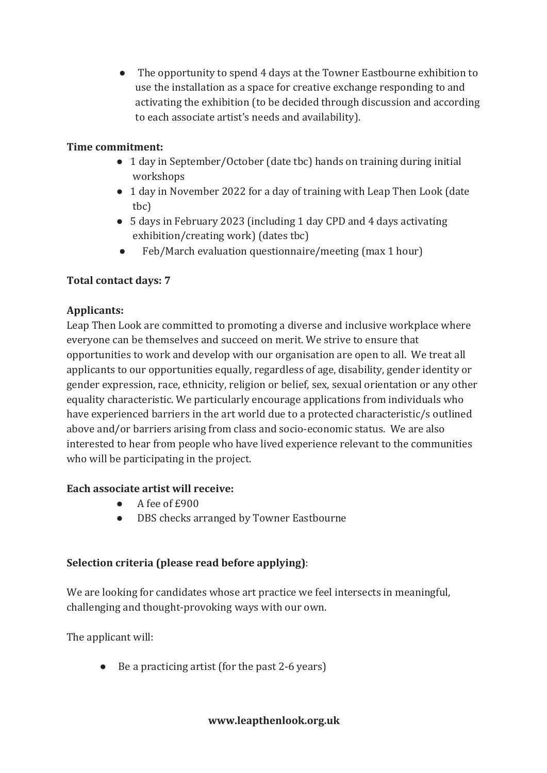• The opportunity to spend 4 days at the Towner Eastbourne exhibition to use the installation as a space for creative exchange responding to and activating the exhibition (to be decided through discussion and according to each associate artist's needs and availability).

### **Time commitment:**

- 1 day in September/October (date tbc) hands on training during initial workshops
- 1 day in November 2022 for a day of training with Leap Then Look (date tbc)
- 5 days in February 2023 (including 1 day CPD and 4 days activating exhibition/creating work) (dates tbc)
- Feb/March evaluation questionnaire/meeting (max 1 hour)

# **Total contact days: 7**

# **Applicants:**

Leap Then Look are committed to promoting a diverse and inclusive workplace where everyone can be themselves and succeed on merit. We strive to ensure that opportunities to work and develop with our organisation are open to all. We treat all applicants to our opportunities equally, regardless of age, disability, gender identity or gender expression, race, ethnicity, religion or belief, sex, sexual orientation or any other equality characteristic. We particularly encourage applications from individuals who have experienced barriers in the art world due to a protected characteristic/s outlined above and/or barriers arising from class and socio-economic status. We are also interested to hear from people who have lived experience relevant to the communities who will be participating in the project.

# **Each associate artist will receive:**

- $\overline{A}$  fee of  $\overline{E}900$
- DBS checks arranged by Towner Eastbourne

# **Selection criteria (please read before applying):**

We are looking for candidates whose art practice we feel intersects in meaningful, challenging and thought-provoking ways with our own.

The applicant will:

• Be a practicing artist (for the past 2-6 years)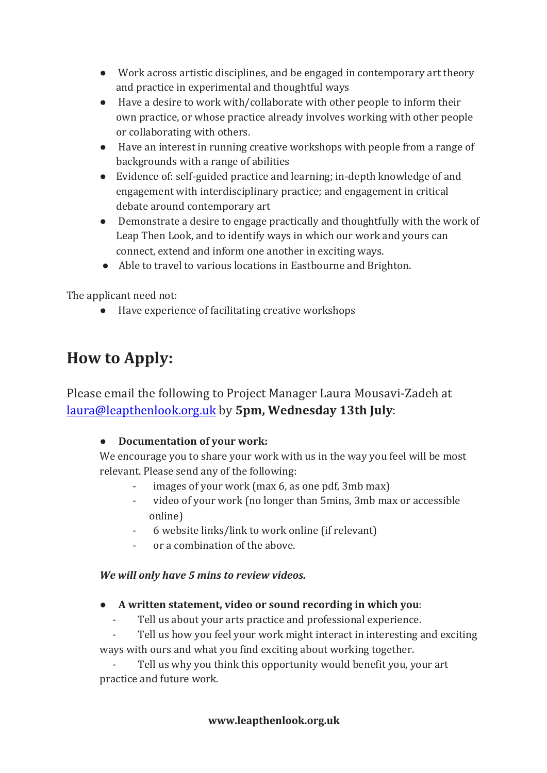- Work across artistic disciplines, and be engaged in contemporary art theory and practice in experimental and thoughtful ways
- Have a desire to work with/collaborate with other people to inform their own practice, or whose practice already involves working with other people or collaborating with others.
- Have an interest in running creative workshops with people from a range of backgrounds with a range of abilities
- Evidence of: self-guided practice and learning; in-depth knowledge of and engagement with interdisciplinary practice; and engagement in critical debate around contemporary art
- Demonstrate a desire to engage practically and thoughtfully with the work of Leap Then Look, and to identify ways in which our work and yours can connect, extend and inform one another in exciting ways.
- Able to travel to various locations in Eastbourne and Brighton.

The applicant need not:

● Have experience of facilitating creative workshops

# **How to Apply:**

Please email the following to Project Manager Laura Mousavi-Zadeh at laura@leapthenlook.org.uk by 5pm, Wednesday 13th July:

# ● **Documentation of your work:**

We encourage you to share your work with us in the way you feel will be most relevant. Please send any of the following:

- images of your work (max  $6$ , as one pdf, 3mb max)
- video of your work (no longer than 5mins, 3mb max or accessible online)
- 6 website links/link to work online (if relevant)
- or a combination of the above.

# *We will only have 5 mins to review videos.*

- A written statement, video or sound recording in which you:
	- Tell us about your arts practice and professional experience.

Tell us how you feel your work might interact in interesting and exciting ways with ours and what you find exciting about working together.

Tell us why you think this opportunity would benefit you, your art practice and future work.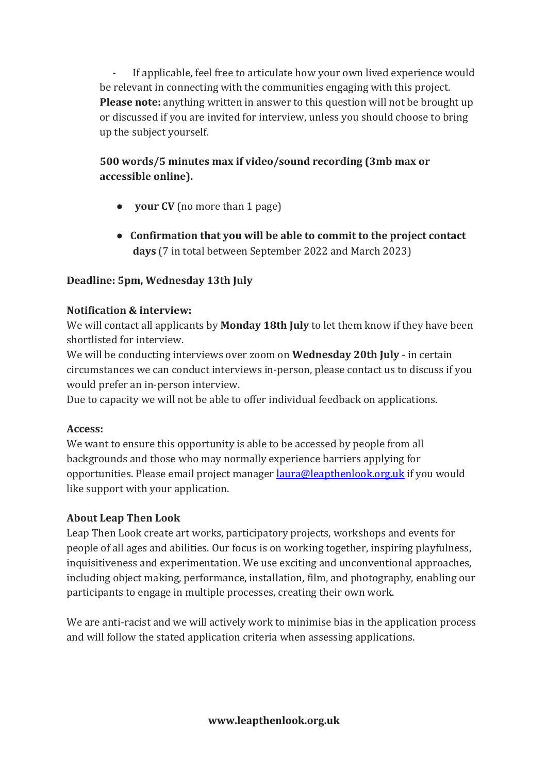If applicable, feel free to articulate how your own lived experience would be relevant in connecting with the communities engaging with this project. **Please note:** anything written in answer to this question will not be brought up or discussed if you are invited for interview, unless you should choose to bring up the subject yourself.

# **500** words/5 minutes max if video/sound recording (3mb max or accessible online).

- **vour CV** (no more than 1 page)
- Confirmation that you will be able to commit to the project contact **days** (7 in total between September 2022 and March 2023)

### **Deadline: 5pm, Wednesday 13th July**

### **Notification & interview:**

We will contact all applicants by **Monday 18th July** to let them know if they have been shortlisted for interview.

We will be conducting interviews over zoom on **Wednesday 20th July** - in certain circumstances we can conduct interviews in-person, please contact us to discuss if you would prefer an in-person interview.

Due to capacity we will not be able to offer individual feedback on applications.

### **Access:**

We want to ensure this opportunity is able to be accessed by people from all backgrounds and those who may normally experience barriers applying for opportunities. Please email project manager laura@leapthenlook.org.uk if you would like support with your application.

### **About Leap Then Look**

Leap Then Look create art works, participatory projects, workshops and events for people of all ages and abilities. Our focus is on working together, inspiring playfulness, inquisitiveness and experimentation. We use exciting and unconventional approaches, including object making, performance, installation, film, and photography, enabling our participants to engage in multiple processes, creating their own work.

We are anti-racist and we will actively work to minimise bias in the application process and will follow the stated application criteria when assessing applications.